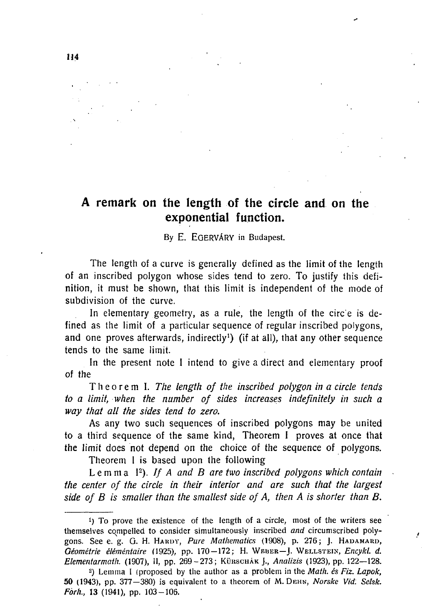## **A remark on the length of the circle and on the exponential function.**

By E. EGERVARY in Budapest.

**The length of a curve is generally defined as the limit of the length of an inscribed polygon whose sides tend to zero. To justify this definition, it must be shown, that this limit is independent of the mode of subdivision of the curve.** 

In elementary geometry, as a rule, the length of the circ'e is de**fined as the limit of a particular sequence of regular inscribed polygons, and one proves afterwards, indirectly<sup>1</sup> ) (if at all), that any other sequence tends to the same limit.** 

**In the present note I intend to give a direct and elementary proof of the** 

**Theore m I.** *The length of the inscribed polygon in a circle tends to a limit, when the number of sides increases indefinitely in such a way that all the sides tend to zero.* 

**As any two such sequences of inscribed polygons may be united to a third sequence of the same kind, Theorem I proves at once that the limit does not depend on the choice of the sequence of polygons.** 

**Theorem I is based upon the following** 

*Lemma I<sup>2</sup> ). If A and B are two inscribed polygons which contain the center of the circle in their interior and are such that the largest side of B is smaller than the smallest side of A, then A is shorter than B.* 

y.

<sup>&</sup>lt;sup>1</sup>) To prove the existence of the length of a circle, most of the writers see themselves compelled to consider simultaneously inscribed *and* circumscribed polygons. See e. g. G. H. HARDY, Pure Mathematics (1908), p. 276; J. HADAMARD, *Géométrie éléméntaire* (1925), pp. 170-172; H. WEBER-J. WELLSTEIN, Encykl. d. *Elementarmath.* (1907), Il, pp. 269 - 273; KÜRSCHÁK J., Analizis (1923), pp. 122-128.

<sup>-)</sup> Lemma I (proposed by the author as a problem in the *Math, és Fiz. Lapok,*  50 (1943), pp. 377—380) is equivalent to a theorem of M. DEHN, *Norske Vid: Selsk. Forh.*, 13 (1941), pp. 103-106.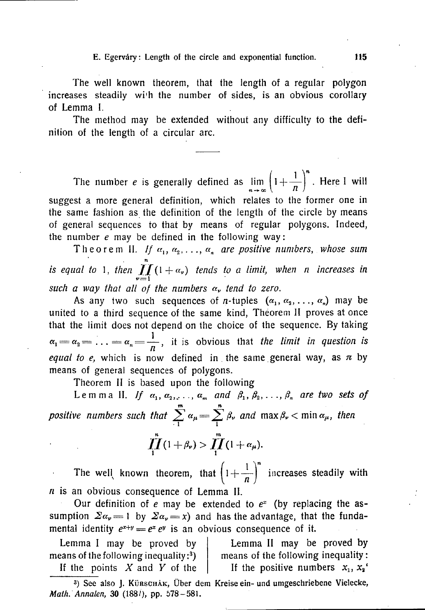E. Egervary: Length of the circle and exponential function.  $115$ 

**The well known theorem, that the length of a regular polygon increases steadily wi'h the number of sides, is an obvious corollary of Lemma 1.** 

**The method may be extended without any difficulty to the definition of the length of a circular arc.** 

The number *e* is generally defined as  $\lim_{n \to \infty} \left(1 + \frac{1}{n}\right)^n$ . Here I will **suggest a more general definition, which relates to the former one in the same fashion as the definition of the length of the circle by means of general sequences to that by means of regular polygons. Indeed, the number** *e* **may be defined in the following way:** 

Theorem II. If  $\alpha_1, \alpha_2, \ldots, \alpha_n$  are positive numbers, whose sum n is equal to 1, then  $\int$   $\int$   $(1 + \alpha_{\nu})$  tends to a limit, when n increases in *such a way that all of the numbers*  $\alpha$ *, tend to zero.* 

As any two such sequences of *n*-tuples  $(\alpha_1, \alpha_2, \ldots, \alpha_n)$  may be **united to a third sequence of the same kind, Theorem II proves at once that the limit does not depend on the choice of the sequence. By taking**   $\alpha_1 = \alpha_2 = \ldots = \alpha_n = \frac{1}{n}$ , it is obvious that *the limit in question is equal to e,* which is now defined in the same general way, as  $\pi$  by **means of general sequences of polygons.** 

**Theorem II is based upon the following** 

Lemma II. If  $\alpha_1, \alpha_2, \ldots, \alpha_m$  and  $\beta_1, \beta_2, \ldots, \beta_n$  are two sets of m n *positive numbers such that*  $\sum_{i=1}^{\infty} a_{\mu} = \sum_{i=1}^{\infty} \beta_{\nu}$  and  $\max \beta_{\nu} < \min \alpha_{\mu}$ , then

$$
\prod_{i}^{n}(1+\beta_{\nu})>\prod_{i}^{m}(1+\alpha_{\mu}).
$$

The well known theorem, that  $\left(1 + \frac{1}{n}\right)^n$  increases steadily with *n* **is an obvious consequence of Lemma II.** 

Our definition of *e* may be extended to  $e^x$  (by replacing the assumption  $\sum a_{\nu} = 1$  by  $\sum a_{\nu} = x$  and has the advantage, that the fundamental identity  $e^{x+y} = e^x e^y$  is an obvious consequence of it.

**Lemma I may be proved by means of the following inequality :<sup>3</sup> ) If the points** *X* **and** *Y* **of the** 

**Lemma II may be proved by means of the following inequality:**  If the positive numbers  $x_1, x_2$ <sup>\*</sup>

3 ) See also J. KÜRSCHÄK, Über dem Kreise ein- und umgeschriebene Vielecke, *Math. Annalen,* 30 (188/), pp. 578 - 581.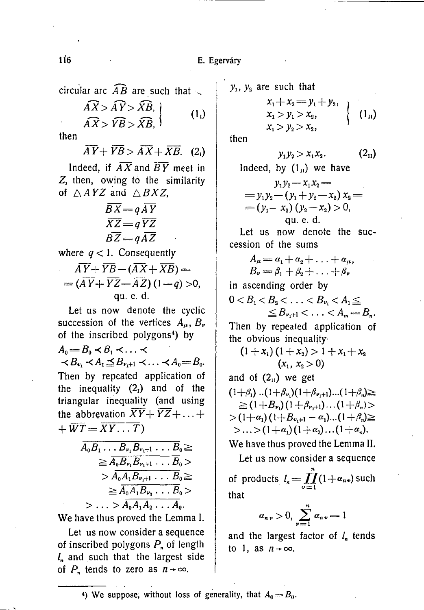**circular arc**  $\widehat{AB}$  are such that

$$
\begin{aligned}\n\widehat{AX} > \widehat{AY} > \widehat{XB}, \\
\widehat{AX} > \widehat{YB} > \widehat{XB},\n\end{aligned}
$$
\n(1<sub>1</sub>)

**then** 

 $\overline{AY}+\overline{YB}>\overline{AX}+\overline{XB}$ . (2)

Indeed, if  $\overline{AX}$  and  $\overline{BY}$  meet in **Z, then, owing to the similarity**  of  $\triangle$  *AYZ* and  $\triangle$  *BXZ*,

$$
\overline{BX} = q\,\overline{AY} \n\overline{XZ} = q\,\overline{YZ} \n\overline{BZ} = q\,\overline{AZ}
$$

**where**  $q < 1$ **.** Consequently

$$
\overline{AY} + \overline{YB} - (\overline{AX} + \overline{XB}) =
$$
  
=  $(\overline{AY} + \overline{YZ} - \overline{AZ}) (1-q) > 0,$   
qu. e. d.

**Let us now denote the cyclic succession of the vertices**  $A_{\mu}$ ,  $B_{\nu}$ **of the inscribed polygons<sup>4</sup> ) by** 

 $A_0 = B_0 \prec B_1 \prec \ldots \prec$  $\prec B_{\nu_i} \prec A_1 \leq B_{\nu_i+1} \prec \ldots \prec A_0 = B_0$ . **Then by repeated application of**  the inequality  $(2<sub>1</sub>)$  and of the **triangular inequality (and using**  the abbrevation  $\overline{XY}$  +  $\overline{YZ}$  + ... +  $+ \overline{WT} = \overline{XY...T}$ 

$$
\overline{A_0B_1 \dots B_{\nu_1}B_{\nu_1+1} \dots B_0} \ge
$$
\n
$$
\geq \overline{A_0B_{\nu_1}B_{\nu_1+1} \dots B_0} >
$$
\n
$$
> \overline{A_0A_1B_{\nu_1+1} \dots B_0} \geq
$$
\n
$$
\geq \overline{A_0A_1B_{\nu_2} \dots B_0} >
$$
\n
$$
> \dots > \overline{A_0A_1A_2 \dots A_0}.
$$

**We have thus proved the Lemma I.** 

**Let us now consider a sequence**  of inscribed polygons  $P_n$  of length  $l_n$  and such that the largest side of  $P_n$  tends to zero as  $n \rightarrow \infty$ .

 $y_1$ ,  $y_2$  are such that

$$
\begin{array}{c}\nx_1 + x_2 = y_1 + y_2, \\
x_1 > y_1 > x_2, \\
x_1 > y_2 > x_2,\n\end{array}\n\bigg\{\n\begin{array}{c}\n(1_n) \\
\end{array}\n\end{array}
$$

**then** 

$$
y_1 y_2 > x_1 x_2. \hspace{1.5cm} (2_{11})
$$

Indeed, by  $(1_{\text{II}})$  we have

$$
y_1y_2-x_1x_2 =
$$
  
=  $y_1y_2-(y_1+y_2-x_2)x_2 =$   
=  $(y_1-x_2)(y_2-x_2) > 0$ ,  
qu. e. d.

**Let us now denote the succession of the sums** 

$$
A_{\mu} = \alpha_1 + \alpha_2 + \ldots + \alpha_{\mu},
$$
  
\n
$$
B_{\nu} = \beta_1 + \beta_2 + \ldots + \beta_{\nu}
$$

**in ascending order by** 

$$
0 < B_1 < B_2 < \ldots < B_{\nu_1} < A_1 \leq \\ \leq B_{\nu_1+1} < \ldots < A_m = B_n.
$$

**Then by repeated application of the obvious inequality-**

$$
(1+x_1)(1+x_2) > 1 + x_1 + x_2
$$
  
(x<sub>1</sub>, x<sub>2</sub> > 0)

and of  $(2_{11})$  we get

 $(1+\beta_1)$   $\ldots$   $(1+\beta_{\nu_1})(1+\beta_{\nu_1+1})\ldots$   $(1+\beta_n) \geq$  $\geq (1+B_{\nu_1})(1+\beta_{\nu_1+1})\dots(1+\beta_n)$  $> (1+\alpha_1)(1+B_{\nu_1+1}-\alpha_1)...(1+\beta_n) \ge$  $>...>(1+\alpha_1)(1+\alpha_2)...(1+\alpha_n).$ 

**We have thus proved the Lemma II.** 

**Let us now consider a sequence**  « of products  $l_n = \prod_{\nu=1} (1 + \alpha_{n\nu})$  such **that** 

$$
\alpha_{n\nu} > 0, \sum_{\nu=1}^{n} \alpha_{n\nu} = 1
$$

and the largest factor of  $l_n$  tends to 1, as  $n + \infty$ .

4) We suppose, without loss of generality, that  $A_0 = B_0$ .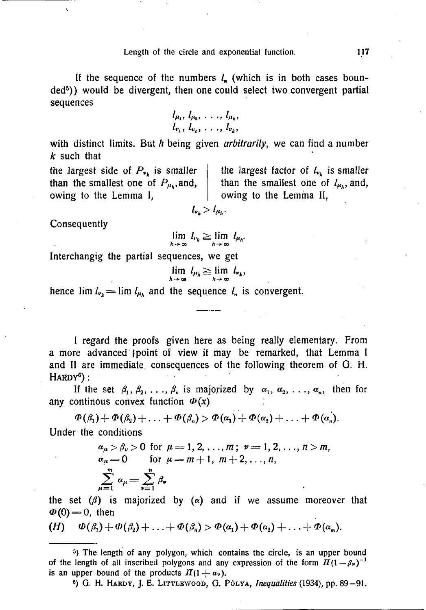If the sequence of the numbers  $l_{\rm s}$  (which is in both cases boun**ded<sup>5</sup> )) would be divergent, then one could select two convergent partial sequences** 

$$
l_{\mu_1}, l_{\mu_2}, \ldots, l_{\mu_k},
$$
  
 $l_{\nu_1}, l_{\nu_2}, \ldots, l_{\nu_k},$ 

**with distinct limits. But** *h* **being given** *arbitrarily***, we can find a number**  *k* **such that** 

the largest side of  $P_{\nu_k}$  is smaller | **than the smallest one of**  $P_{\mu}$ **, and, owing to the Lemma I,** 

the largest factor of  $l_{\nu_k}$  is smaller **than the smallest one of**  $l_{\mu_h}$ **, and, owing to the Lemma II,** 

**Consequently** 

$$
\lim_{k\to\infty}l_{\nu_k}\geq \lim_{h\to\infty}l_{\mu_h}.
$$

 $l_{\nu_k} > l_{\mu_k}$ .

**Interchangig the partial sequences, we get** 

$$
\lim_{h\to\infty} l_{\mu_h} \geq \lim_{k\to\infty} l_{\nu_k},
$$

hence  $\lim l_{\nu_k} = \lim l_{\mu_k}$  and the sequence  $l_n$  is convergent.

**I regard the proofs given here as being really elementary. From a more advanced [point of view it may be remarked, that Lemma I**  and II are immediate consequences of the following theorem of G. H. HARDY") :

If the set  $\beta_1, \beta_2, \ldots, \beta_n$  is majorized by  $\alpha_1, \alpha_2, \ldots, \alpha_n$ , then for any continous convex function  $\Phi(x)$ 

$$
\Phi(\beta_1)+\Phi(\beta_2)+\ldots+\Phi(\beta_n)>\Phi(\alpha_1)+\Phi(\alpha_2)+\ldots+\Phi(\alpha_n).
$$

**Under the conditions** 

$$
\alpha_{\mu} > \beta_{\nu} > 0 \text{ for } \mu = 1, 2, ..., m; \nu = 1, 2, ..., n > m,\n\alpha_{\mu} = 0 \text{ for } \mu = m + 1, m + 2, ..., n,\n\sum_{\mu=1}^{m} \alpha_{\mu} = \sum_{\nu=1}^{n} \beta_{\nu}
$$

the set  $(\beta)$  is majorized by  $(\alpha)$  and if we assume moreover that  $\Phi(0) = 0$ , then

(H) 
$$
\Phi(\beta_1) + \Phi(\beta_2) + \ldots + \Phi(\beta_n) > \Phi(\alpha_1) + \Phi(\alpha_2) + \ldots + \Phi(\alpha_m).
$$

<sup>5</sup>) The length of any polygon, which contains the circle, is an upper bound of the length of all inscribed polygons and any expression of the form  $\pi(1-\beta\nu)^{-1}$ is an upper bound of the products  $\pi/1 + a_\nu$ .

6) G . H. HARDY, J. E. LITTLEWOOD, G . POLYA, *Inequalities* (1934), pp . 89-91 .